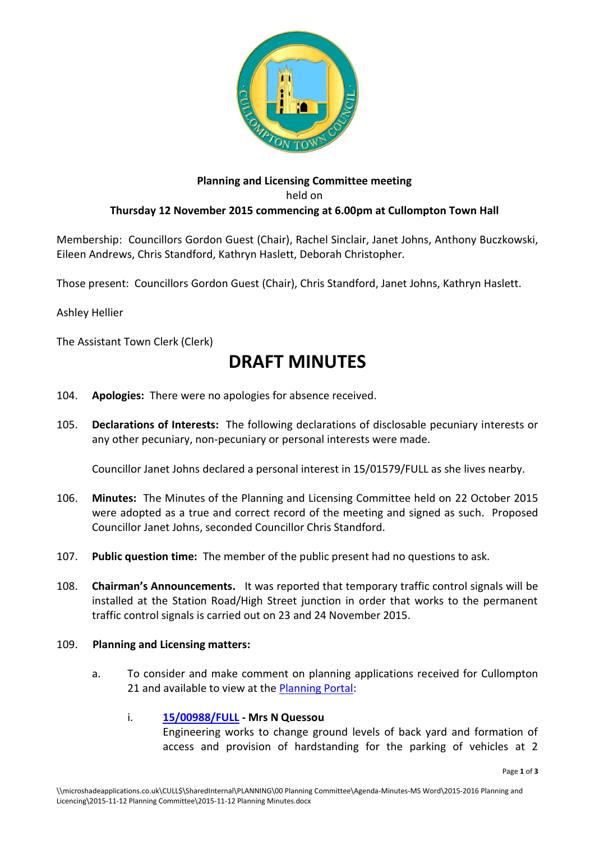

### **Planning and Licensing Committee meeting** held on **Thursday 12 November 2015 commencing at 6.00pm at Cullompton Town Hall**

Membership: Councillors Gordon Guest (Chair), Rachel Sinclair, Janet Johns, Anthony Buczkowski, Eileen Andrews, Chris Standford, Kathryn Haslett, Deborah Christopher.

Those present: Councillors Gordon Guest (Chair), Chris Standford, Janet Johns, Kathryn Haslett.

Ashley Hellier

The Assistant Town Clerk (Clerk)

# **DRAFT MINUTES**

- 104. **Apologies:** There were no apologies for absence received.
- 105. **Declarations of Interests:** The following declarations of disclosable pecuniary interests or any other pecuniary, non-pecuniary or personal interests were made.

Councillor Janet Johns declared a personal interest in 15/01579/FULL as she lives nearby.

- 106. **Minutes:** The Minutes of the Planning and Licensing Committee held on 22 October 2015 were adopted as a true and correct record of the meeting and signed as such. Proposed Councillor Janet Johns, seconded Councillor Chris Standford.
- 107. **Public question time:** The member of the public present had no questions to ask.
- 108. **Chairman's Announcements.** It was reported that temporary traffic control signals will be installed at the Station Road/High Street junction in order that works to the permanent traffic control signals is carried out on 23 and 24 November 2015.

#### 109. **Planning and Licensing matters:**

a. To consider and make comment on planning applications received for Cullompton 21 and available to view at the [Planning Portal:](http://planning.middevon.gov.uk/online-applications/refineSearch.do?action=refine)

#### i. **[15/00988/FULL](http://docs.middevon.gov.uk/pap/index.asp?caseref=15/00988/FULL) - Mrs N Quessou**

Engineering works to change ground levels of back yard and formation of access and provision of hardstanding for the parking of vehicles at 2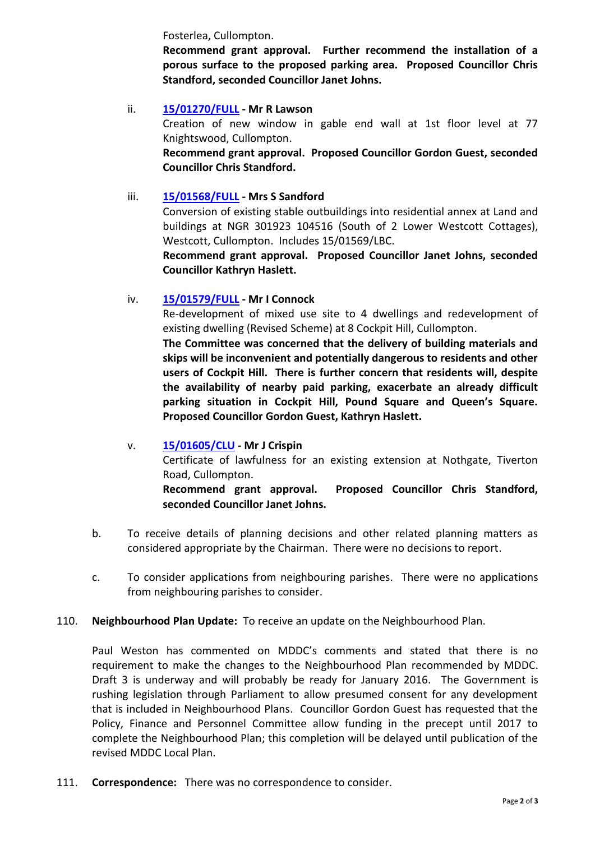Fosterlea, Cullompton.

**Recommend grant approval. Further recommend the installation of a porous surface to the proposed parking area. Proposed Councillor Chris Standford, seconded Councillor Janet Johns.**

#### ii. **[15/01270/FULL](http://docs.middevon.gov.uk/pap/index.asp?caseref=15/01270/FULL) - Mr R Lawson**

Creation of new window in gable end wall at 1st floor level at 77 Knightswood, Cullompton.

**Recommend grant approval. Proposed Councillor Gordon Guest, seconded Councillor Chris Standford.**

#### iii. **[15/01568/FULL](http://docs.middevon.gov.uk/pap/index.asp?caseref=15/01568/FULL) - Mrs S Sandford**

Conversion of existing stable outbuildings into residential annex at Land and buildings at NGR 301923 104516 (South of 2 Lower Westcott Cottages), Westcott, Cullompton. Includes 15/01569/LBC.

**Recommend grant approval. Proposed Councillor Janet Johns, seconded Councillor Kathryn Haslett.**

#### iv. **[15/01579/FULL](http://docs.middevon.gov.uk/pap/index.asp?caseref=15/01579/FULL) - Mr I Connock**

Re-development of mixed use site to 4 dwellings and redevelopment of existing dwelling (Revised Scheme) at 8 Cockpit Hill, Cullompton.

**The Committee was concerned that the delivery of building materials and skips will be inconvenient and potentially dangerous to residents and other users of Cockpit Hill. There is further concern that residents will, despite the availability of nearby paid parking, exacerbate an already difficult parking situation in Cockpit Hill, Pound Square and Queen's Square. Proposed Councillor Gordon Guest, Kathryn Haslett.**

# v. **[15/01605/CLU](http://docs.middevon.gov.uk/pap/index.asp?caseref=15/01579/FULL) - Mr J Crispin** Certificate of lawfulness for an existing extension at Nothgate, Tiverton Road, Cullompton. **Recommend grant approval. Proposed Councillor Chris Standford, seconded Councillor Janet Johns.**

- b. To receive details of planning decisions and other related planning matters as considered appropriate by the Chairman. There were no decisions to report.
- c. To consider applications from neighbouring parishes. There were no applications from neighbouring parishes to consider.

## 110. **Neighbourhood Plan Update:** To receive an update on the Neighbourhood Plan.

Paul Weston has commented on MDDC's comments and stated that there is no requirement to make the changes to the Neighbourhood Plan recommended by MDDC. Draft 3 is underway and will probably be ready for January 2016. The Government is rushing legislation through Parliament to allow presumed consent for any development that is included in Neighbourhood Plans. Councillor Gordon Guest has requested that the Policy, Finance and Personnel Committee allow funding in the precept until 2017 to complete the Neighbourhood Plan; this completion will be delayed until publication of the revised MDDC Local Plan.

111. **Correspondence:** There was no correspondence to consider.